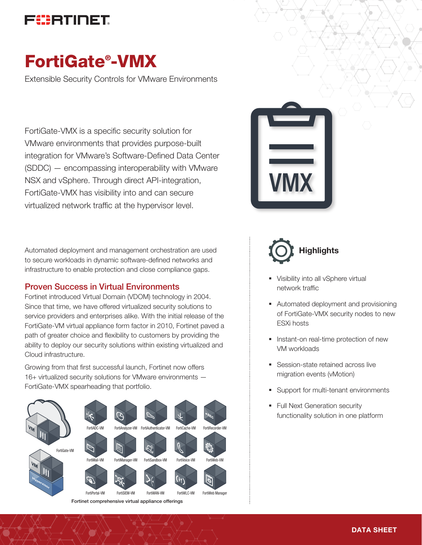

# FortiGate® -VMX

Extensible Security Controls for VMware Environments

FortiGate-VMX is a specific security solution for VMware environments that provides purpose-built integration for VMware's Software-Defined Data Center (SDDC) — encompassing interoperability with VMware NSX and vSphere. Through direct API-integration, FortiGate-VMX has visibility into and can secure virtualized network traffic at the hypervisor level.

Automated deployment and management orchestration are used to secure workloads in dynamic software-defined networks and infrastructure to enable protection and close compliance gaps.

### Proven Success in Virtual Environments

Fortinet introduced Virtual Domain (VDOM) technology in 2004. Since that time, we have offered virtualized security solutions to service providers and enterprises alike. With the initial release of the FortiGate-VM virtual appliance form factor in 2010, Fortinet paved a path of greater choice and flexibility to customers by providing the ability to deploy our security solutions within existing virtualized and Cloud infrastructure.

Growing from that first successful launch, Fortinet now offers 16+ virtualized security solutions for VMware environments — FortiGate-VMX spearheading that portfolio.









- § Visibility into all vSphere virtual network traffic
- Automated deployment and provisioning of FortiGate-VMX security nodes to new ESXi hosts
- Instant-on real-time protection of new VM workloads
- Session-state retained across live migration events (vMotion)
- Support for multi-tenant environments
- Full Next Generation security functionality solution in one platform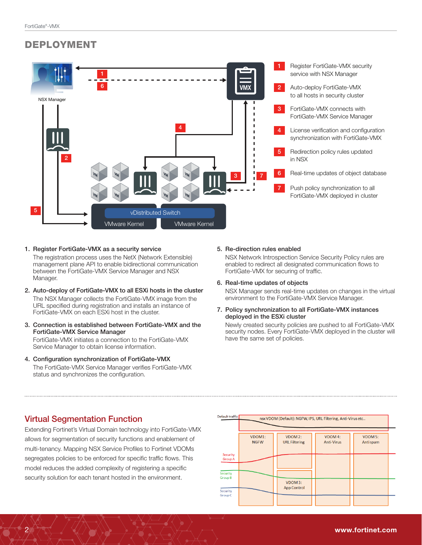# DEPLOYMENT



#### 1. Register FortiGate-VMX as a security service

The registration process uses the NetX (Network Extensible) management plane API to enable bidirectional communication between the FortiGate-VMX Service Manager and NSX Manager.

- 2. Auto-deploy of FortiGate-VMX to all ESXi hosts in the cluster The NSX Manager collects the FortiGate-VMX image from the URL specified during registration and installs an instance of FortiGate-VMX on each ESXi host in the cluster.
- 3. Connection is established between FortiGate-VMX and the FortiGate-VMX Service Manager

FortiGate-VMX initiates a connection to the FortiGate-VMX Service Manager to obtain license information.

4. Configuration synchronization of FortiGate-VMX The FortiGate-VMX Service Manager verifies FortiGate-VMX status and synchronizes the configuration.

#### 5. Re-direction rules enabled

NSX Network Introspection Service Security Policy rules are enabled to redirect all designated communication flows to FortiGate-VMX for securing of traffic.

#### 6. Real-time updates of objects

NSX Manager sends real-time updates on changes in the virtual environment to the FortiGate-VMX Service Manager.

7. Policy synchronization to all FortiGate-VMX instances deployed in the ESXi cluster

Newly created security policies are pushed to all FortiGate-VMX security nodes. Every FortiGate-VMX deployed in the cluster will have the same set of policies.

### Virtual Segmentation Function

Extending Fortinet's Virtual Domain technology into FortiGate-VMX allows for segmentation of security functions and enablement of multi-tenancy. Mapping NSX Service Profiles to Fortinet VDOMs segregates policies to be enforced for specific traffic flows. This model reduces the added complexity of registering a specific security solution for each tenant hosted in the environment.

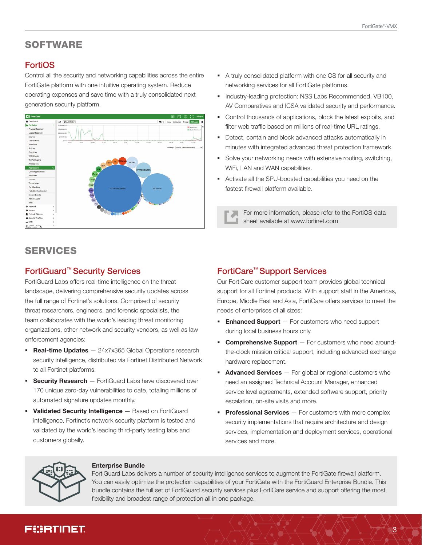# SOFTWARE

# **FortiOS**

Control all the security and networking capabilities across the entire FortiGate platform with one intuitive operating system. Reduce operating expenses and save time with a truly consolidated next generation security platform.



- § A truly consolidated platform with one OS for all security and networking services for all FortiGate platforms.
- § Industry-leading protection: NSS Labs Recommended, VB100, AV Comparatives and ICSA validated security and performance.
- § Control thousands of applications, block the latest exploits, and filter web traffic based on millions of real-time URL ratings.
- Detect, contain and block advanced attacks automatically in minutes with integrated advanced threat protection framework.
- § Solve your networking needs with extensive routing, switching, WiFi, LAN and WAN capabilities.
- § Activate all the SPU-boosted capabilities you need on the fastest firewall platform available.

For more information, please refer to the FortiOS data sheet available at www.fortinet.com

# SERVICES

### FortiGuard™ Security Services

FortiGuard Labs offers real-time intelligence on the threat landscape, delivering comprehensive security updates across the full range of Fortinet's solutions. Comprised of security threat researchers, engineers, and forensic specialists, the team collaborates with the world's leading threat monitoring organizations, other network and security vendors, as well as law enforcement agencies:

- **Real-time Updates**  $-$  24x7x365 Global Operations research security intelligence, distributed via Fortinet Distributed Network to all Fortinet platforms.
- **Security Research** FortiGuard Labs have discovered over 170 unique zero-day vulnerabilities to date, totaling millions of automated signature updates monthly.
- **Validated Security Intelligence** Based on FortiGuard intelligence, Fortinet's network security platform is tested and validated by the world's leading third-party testing labs and customers globally.

# FortiCare™ Support Services

Our FortiCare customer support team provides global technical support for all Fortinet products. With support staff in the Americas, Europe, Middle East and Asia, FortiCare offers services to meet the needs of enterprises of all sizes:

- **Enhanced Support**  $-$  For customers who need support during local business hours only.
- **Comprehensive Support**  $-$  For customers who need aroundthe-clock mission critical support, including advanced exchange hardware replacement.
- **Advanced Services**  $-$  For global or regional customers who need an assigned Technical Account Manager, enhanced service level agreements, extended software support, priority escalation, on-site visits and more.
- **Professional Services**  $-$  For customers with more complex security implementations that require architecture and design services, implementation and deployment services, operational services and more.



#### Enterprise Bundle

FortiGuard Labs delivers a number of security intelligence services to augment the FortiGate firewall platform. You can easily optimize the protection capabilities of your FortiGate with the FortiGuard Enterprise Bundle. This bundle contains the full set of FortiGuard security services plus FortiCare service and support offering the most flexibility and broadest range of protection all in one package.

# FCERTINET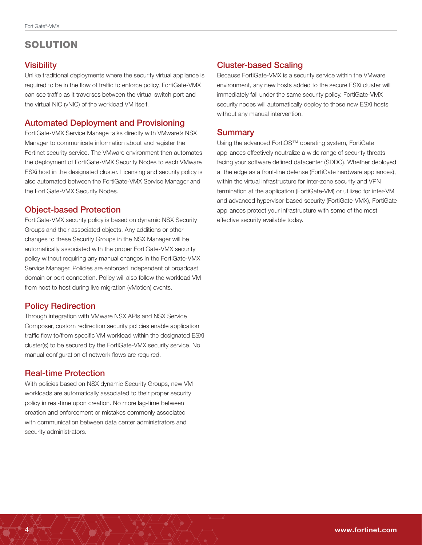# SOLUTION

#### **Visibility**

Unlike traditional deployments where the security virtual appliance is required to be in the flow of traffic to enforce policy, FortiGate-VMX can see traffic as it traverses between the virtual switch port and the virtual NIC (vNIC) of the workload VM itself.

#### Automated Deployment and Provisioning

FortiGate-VMX Service Manage talks directly with VMware's NSX Manager to communicate information about and register the Fortinet security service. The VMware environment then automates the deployment of FortiGate-VMX Security Nodes to each VMware ESXi host in the designated cluster. Licensing and security policy is also automated between the FortiGate-VMX Service Manager and the FortiGate-VMX Security Nodes.

# Object-based Protection

FortiGate-VMX security policy is based on dynamic NSX Security Groups and their associated objects. Any additions or other changes to these Security Groups in the NSX Manager will be automatically associated with the proper FortiGate-VMX security policy without requiring any manual changes in the FortiGate-VMX Service Manager. Policies are enforced independent of broadcast domain or port connection. Policy will also follow the workload VM from host to host during live migration (vMotion) events.

### Policy Redirection

Through integration with VMware NSX APIs and NSX Service Composer, custom redirection security policies enable application traffic flow to/from specific VM workload within the designated ESXi cluster(s) to be secured by the FortiGate-VMX security service. No manual configuration of network flows are required.

### Real-time Protection

With policies based on NSX dynamic Security Groups, new VM workloads are automatically associated to their proper security policy in real-time upon creation. No more lag-time between creation and enforcement or mistakes commonly associated with communication between data center administrators and security administrators.

# Cluster-based Scaling

Because FortiGate-VMX is a security service within the VMware environment, any new hosts added to the secure ESXi cluster will immediately fall under the same security policy. FortiGate-VMX security nodes will automatically deploy to those new ESXi hosts without any manual intervention.

#### **Summary**

Using the advanced FortiOS™ operating system, FortiGate appliances effectively neutralize a wide range of security threats facing your software defined datacenter (SDDC). Whether deployed at the edge as a front-line defense (FortiGate hardware appliances), within the virtual infrastructure for inter-zone security and VPN termination at the application (FortiGate-VM) or utilized for inter-VM and advanced hypervisor-based security (FortiGate-VMX), FortiGate appliances protect your infrastructure with some of the most effective security available today.